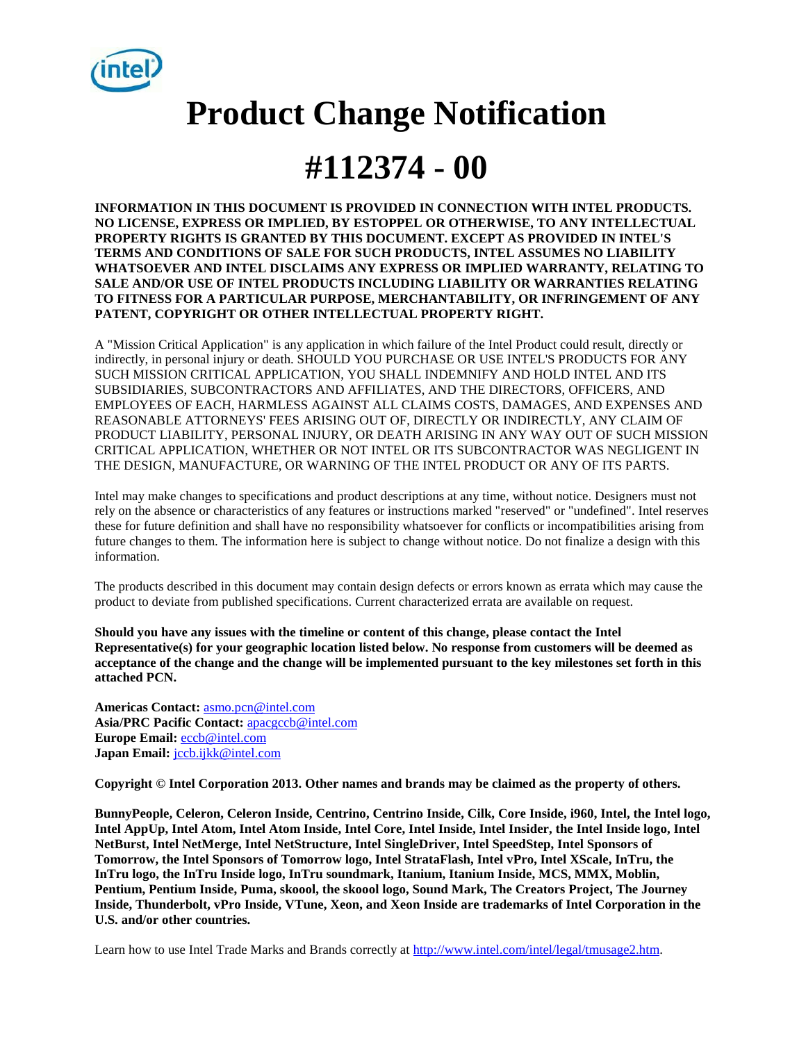

# **Product Change Notification**

## **#112374 - 00**

**INFORMATION IN THIS DOCUMENT IS PROVIDED IN CONNECTION WITH INTEL PRODUCTS. NO LICENSE, EXPRESS OR IMPLIED, BY ESTOPPEL OR OTHERWISE, TO ANY INTELLECTUAL PROPERTY RIGHTS IS GRANTED BY THIS DOCUMENT. EXCEPT AS PROVIDED IN INTEL'S TERMS AND CONDITIONS OF SALE FOR SUCH PRODUCTS, INTEL ASSUMES NO LIABILITY WHATSOEVER AND INTEL DISCLAIMS ANY EXPRESS OR IMPLIED WARRANTY, RELATING TO SALE AND/OR USE OF INTEL PRODUCTS INCLUDING LIABILITY OR WARRANTIES RELATING TO FITNESS FOR A PARTICULAR PURPOSE, MERCHANTABILITY, OR INFRINGEMENT OF ANY PATENT, COPYRIGHT OR OTHER INTELLECTUAL PROPERTY RIGHT.** 

A "Mission Critical Application" is any application in which failure of the Intel Product could result, directly or indirectly, in personal injury or death. SHOULD YOU PURCHASE OR USE INTEL'S PRODUCTS FOR ANY SUCH MISSION CRITICAL APPLICATION, YOU SHALL INDEMNIFY AND HOLD INTEL AND ITS SUBSIDIARIES, SUBCONTRACTORS AND AFFILIATES, AND THE DIRECTORS, OFFICERS, AND EMPLOYEES OF EACH, HARMLESS AGAINST ALL CLAIMS COSTS, DAMAGES, AND EXPENSES AND REASONABLE ATTORNEYS' FEES ARISING OUT OF, DIRECTLY OR INDIRECTLY, ANY CLAIM OF PRODUCT LIABILITY, PERSONAL INJURY, OR DEATH ARISING IN ANY WAY OUT OF SUCH MISSION CRITICAL APPLICATION, WHETHER OR NOT INTEL OR ITS SUBCONTRACTOR WAS NEGLIGENT IN THE DESIGN, MANUFACTURE, OR WARNING OF THE INTEL PRODUCT OR ANY OF ITS PARTS.

Intel may make changes to specifications and product descriptions at any time, without notice. Designers must not rely on the absence or characteristics of any features or instructions marked "reserved" or "undefined". Intel reserves these for future definition and shall have no responsibility whatsoever for conflicts or incompatibilities arising from future changes to them. The information here is subject to change without notice. Do not finalize a design with this information.

The products described in this document may contain design defects or errors known as errata which may cause the product to deviate from published specifications. Current characterized errata are available on request.

**Should you have any issues with the timeline or content of this change, please contact the Intel Representative(s) for your geographic location listed below. No response from customers will be deemed as acceptance of the change and the change will be implemented pursuant to the key milestones set forth in this attached PCN.**

**Americas Contact:** [asmo.pcn@intel.com](mailto:asmo.pcn@intel.com)  **Asia/PRC Pacific Contact:** [apacgccb@intel.com](mailto:apacgccb@intel.com) Europe Email: **eccb@intel.com Japan Email:** [jccb.ijkk@intel.com](mailto:jccb.ijkk@intel.com) 

**Copyright © Intel Corporation 2013. Other names and brands may be claimed as the property of others.**

**BunnyPeople, Celeron, Celeron Inside, Centrino, Centrino Inside, Cilk, Core Inside, i960, Intel, the Intel logo, Intel AppUp, Intel Atom, Intel Atom Inside, Intel Core, Intel Inside, Intel Insider, the Intel Inside logo, Intel NetBurst, Intel NetMerge, Intel NetStructure, Intel SingleDriver, Intel SpeedStep, Intel Sponsors of Tomorrow, the Intel Sponsors of Tomorrow logo, Intel StrataFlash, Intel vPro, Intel XScale, InTru, the InTru logo, the InTru Inside logo, InTru soundmark, Itanium, Itanium Inside, MCS, MMX, Moblin, Pentium, Pentium Inside, Puma, skoool, the skoool logo, Sound Mark, The Creators Project, The Journey Inside, Thunderbolt, vPro Inside, VTune, Xeon, and Xeon Inside are trademarks of Intel Corporation in the U.S. and/or other countries.**

Learn how to use Intel Trade Marks and Brands correctly at [http://www.intel.com/intel/legal/tmusage2.htm.](http://www.intel.com/intel/legal/tmusage2.htm)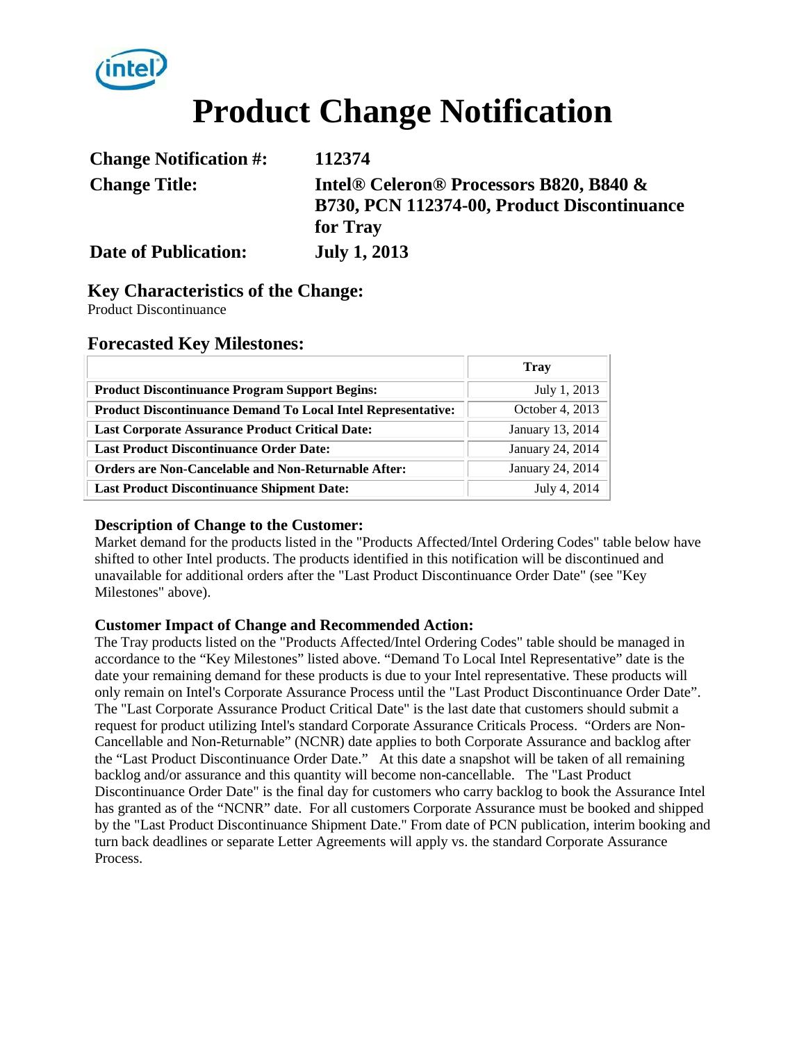

# **Product Change Notification**

| <b>Change Notification #:</b> | 112374                                                                                                         |
|-------------------------------|----------------------------------------------------------------------------------------------------------------|
| <b>Change Title:</b>          | Intel <sup>®</sup> Celeron <sup>®</sup> Processors B820, B840 &<br>B730, PCN 112374-00, Product Discontinuance |
|                               | for Tray                                                                                                       |
| <b>Date of Publication:</b>   | <b>July 1, 2013</b>                                                                                            |

### **Key Characteristics of the Change:**

Product Discontinuance

#### **Forecasted Key Milestones:**

|                                                                     | Tray             |
|---------------------------------------------------------------------|------------------|
| <b>Product Discontinuance Program Support Begins:</b>               | July 1, 2013     |
| <b>Product Discontinuance Demand To Local Intel Representative:</b> | October 4, 2013  |
| <b>Last Corporate Assurance Product Critical Date:</b>              | January 13, 2014 |
| <b>Last Product Discontinuance Order Date:</b>                      | January 24, 2014 |
| <b>Orders are Non-Cancelable and Non-Returnable After:</b>          | January 24, 2014 |
| <b>Last Product Discontinuance Shipment Date:</b>                   | July 4, 2014     |

#### **Description of Change to the Customer:**

Market demand for the products listed in the "Products Affected/Intel Ordering Codes" table below have shifted to other Intel products. The products identified in this notification will be discontinued and unavailable for additional orders after the "Last Product Discontinuance Order Date" (see "Key Milestones" above).

#### **Customer Impact of Change and Recommended Action:**

The Tray products listed on the "Products Affected/Intel Ordering Codes" table should be managed in accordance to the "Key Milestones" listed above. "Demand To Local Intel Representative" date is the date your remaining demand for these products is due to your Intel representative. These products will only remain on Intel's Corporate Assurance Process until the "Last Product Discontinuance Order Date". The "Last Corporate Assurance Product Critical Date" is the last date that customers should submit a request for product utilizing Intel's standard Corporate Assurance Criticals Process. "Orders are Non-Cancellable and Non-Returnable" (NCNR) date applies to both Corporate Assurance and backlog after the "Last Product Discontinuance Order Date." At this date a snapshot will be taken of all remaining backlog and/or assurance and this quantity will become non-cancellable. The "Last Product Discontinuance Order Date" is the final day for customers who carry backlog to book the Assurance Intel has granted as of the "NCNR" date. For all customers Corporate Assurance must be booked and shipped by the "Last Product Discontinuance Shipment Date." From date of PCN publication, interim booking and turn back deadlines or separate Letter Agreements will apply vs. the standard Corporate Assurance Process.